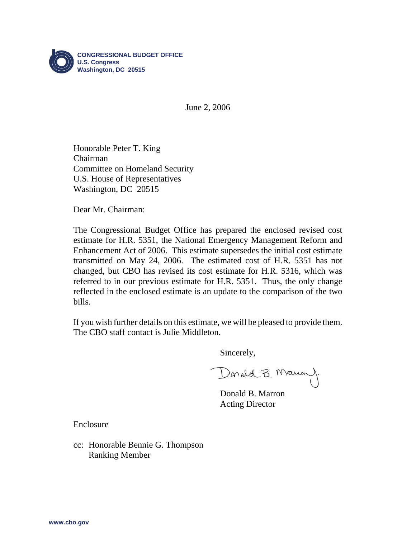

June 2, 2006

Honorable Peter T. King Chairman Committee on Homeland Security U.S. House of Representatives Washington, DC 20515

Dear Mr. Chairman:

The Congressional Budget Office has prepared the enclosed revised cost estimate for H.R. 5351, the National Emergency Management Reform and Enhancement Act of 2006. This estimate supersedes the initial cost estimate transmitted on May 24, 2006. The estimated cost of H.R. 5351 has not changed, but CBO has revised its cost estimate for H.R. 5316, which was referred to in our previous estimate for H.R. 5351. Thus, the only change reflected in the enclosed estimate is an update to the comparison of the two bills.

If you wish further details on this estimate, we will be pleased to provide them. The CBO staff contact is Julie Middleton.

Sincerely,

Donald B. Mauan

Donald B. Marron Acting Director

Enclosure

cc: Honorable Bennie G. Thompson Ranking Member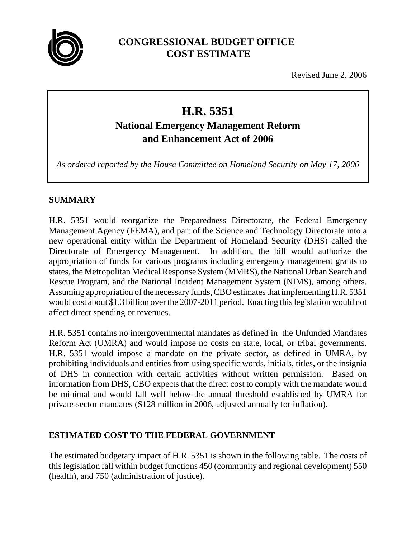

## **CONGRESSIONAL BUDGET OFFICE COST ESTIMATE**

Revised June 2, 2006

# **H.R. 5351**

## **National Emergency Management Reform and Enhancement Act of 2006**

*As ordered reported by the House Committee on Homeland Security on May 17, 2006*

## **SUMMARY**

H.R. 5351 would reorganize the Preparedness Directorate, the Federal Emergency Management Agency (FEMA), and part of the Science and Technology Directorate into a new operational entity within the Department of Homeland Security (DHS) called the Directorate of Emergency Management. In addition, the bill would authorize the appropriation of funds for various programs including emergency management grants to states, the Metropolitan Medical Response System (MMRS), the National Urban Search and Rescue Program, and the National Incident Management System (NIMS), among others. Assuming appropriation of the necessary funds, CBO estimates that implementing H.R. 5351 would cost about \$1.3 billion over the 2007-2011 period. Enacting this legislation would not affect direct spending or revenues.

H.R. 5351 contains no intergovernmental mandates as defined in the Unfunded Mandates Reform Act (UMRA) and would impose no costs on state, local, or tribal governments. H.R. 5351 would impose a mandate on the private sector, as defined in UMRA, by prohibiting individuals and entities from using specific words, initials, titles, or the insignia of DHS in connection with certain activities without written permission. Based on information from DHS, CBO expects that the direct cost to comply with the mandate would be minimal and would fall well below the annual threshold established by UMRA for private-sector mandates (\$128 million in 2006, adjusted annually for inflation).

## **ESTIMATED COST TO THE FEDERAL GOVERNMENT**

The estimated budgetary impact of H.R. 5351 is shown in the following table. The costs of this legislation fall within budget functions 450 (community and regional development) 550 (health), and 750 (administration of justice).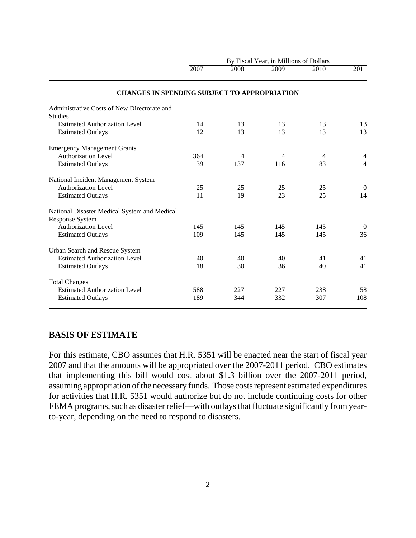|                                                                 | By Fiscal Year, in Millions of Dollars |                |      |                |                |
|-----------------------------------------------------------------|----------------------------------------|----------------|------|----------------|----------------|
|                                                                 | 2007                                   | 2008           | 2009 | 2010           | 2011           |
| <b>CHANGES IN SPENDING SUBJECT TO APPROPRIATION</b>             |                                        |                |      |                |                |
| Administrative Costs of New Directorate and<br><b>Studies</b>   |                                        |                |      |                |                |
| <b>Estimated Authorization Level</b>                            | 14                                     | 13             | 13   | 13             | 13             |
| <b>Estimated Outlays</b>                                        | 12                                     | 13             | 13   | 13             | 13             |
| <b>Emergency Management Grants</b>                              |                                        |                |      |                |                |
| <b>Authorization Level</b>                                      | 364                                    | $\overline{4}$ | 4    | $\overline{4}$ | $\overline{4}$ |
| <b>Estimated Outlays</b>                                        | 39                                     | 137            | 116  | 83             | $\overline{4}$ |
| National Incident Management System                             |                                        |                |      |                |                |
| <b>Authorization Level</b>                                      | 25                                     | 25             | 25   | 25             | $\mathbf{0}$   |
| <b>Estimated Outlays</b>                                        | 11                                     | 19             | 23   | 25             | 14             |
| National Disaster Medical System and Medical<br>Response System |                                        |                |      |                |                |
| <b>Authorization Level</b>                                      | 145                                    | 145            | 145  | 145            | $\theta$       |
| <b>Estimated Outlays</b>                                        | 109                                    | 145            | 145  | 145            | 36             |
| Urban Search and Rescue System                                  |                                        |                |      |                |                |
| <b>Estimated Authorization Level</b>                            | 40                                     | 40             | 40   | 41             | 41             |
| <b>Estimated Outlays</b>                                        | 18                                     | 30             | 36   | 40             | 41             |
| <b>Total Changes</b>                                            |                                        |                |      |                |                |
| <b>Estimated Authorization Level</b>                            | 588                                    | 227            | 227  | 238            | 58             |
| <b>Estimated Outlays</b>                                        | 189                                    | 344            | 332  | 307            | 108            |

#### **BASIS OF ESTIMATE**

For this estimate, CBO assumes that H.R. 5351 will be enacted near the start of fiscal year 2007 and that the amounts will be appropriated over the 2007-2011 period. CBO estimates that implementing this bill would cost about \$1.3 billion over the 2007-2011 period, assuming appropriation of the necessary funds. Those costs represent estimated expenditures for activities that H.R. 5351 would authorize but do not include continuing costs for other FEMA programs, such as disaster relief—with outlays that fluctuate significantly from yearto-year, depending on the need to respond to disasters.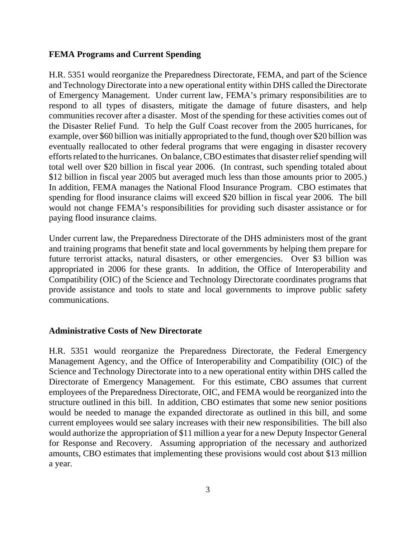#### **FEMA Programs and Current Spending**

H.R. 5351 would reorganize the Preparedness Directorate, FEMA, and part of the Science and Technology Directorate into a new operational entity within DHS called the Directorate of Emergency Management. Under current law, FEMA's primary responsibilities are to respond to all types of disasters, mitigate the damage of future disasters, and help communities recover after a disaster. Most of the spending for these activities comes out of the Disaster Relief Fund. To help the Gulf Coast recover from the 2005 hurricanes, for example, over \$60 billion was initially appropriated to the fund, though over \$20 billion was eventually reallocated to other federal programs that were engaging in disaster recovery efforts related to the hurricanes. On balance, CBO estimates that disaster relief spending will total well over \$20 billion in fiscal year 2006. (In contrast, such spending totaled about \$12 billion in fiscal year 2005 but averaged much less than those amounts prior to 2005.) In addition, FEMA manages the National Flood Insurance Program. CBO estimates that spending for flood insurance claims will exceed \$20 billion in fiscal year 2006. The bill would not change FEMA's responsibilities for providing such disaster assistance or for paying flood insurance claims.

Under current law, the Preparedness Directorate of the DHS administers most of the grant and training programs that benefit state and local governments by helping them prepare for future terrorist attacks, natural disasters, or other emergencies. Over \$3 billion was appropriated in 2006 for these grants. In addition, the Office of Interoperability and Compatibility (OIC) of the Science and Technology Directorate coordinates programs that provide assistance and tools to state and local governments to improve public safety communications.

#### **Administrative Costs of New Directorate**

H.R. 5351 would reorganize the Preparedness Directorate, the Federal Emergency Management Agency, and the Office of Interoperability and Compatibility (OIC) of the Science and Technology Directorate into to a new operational entity within DHS called the Directorate of Emergency Management. For this estimate, CBO assumes that current employees of the Preparedness Directorate, OIC, and FEMA would be reorganized into the structure outlined in this bill. In addition, CBO estimates that some new senior positions would be needed to manage the expanded directorate as outlined in this bill, and some current employees would see salary increases with their new responsibilities. The bill also would authorize the appropriation of \$11 million a year for a new Deputy Inspector General for Response and Recovery. Assuming appropriation of the necessary and authorized amounts, CBO estimates that implementing these provisions would cost about \$13 million a year.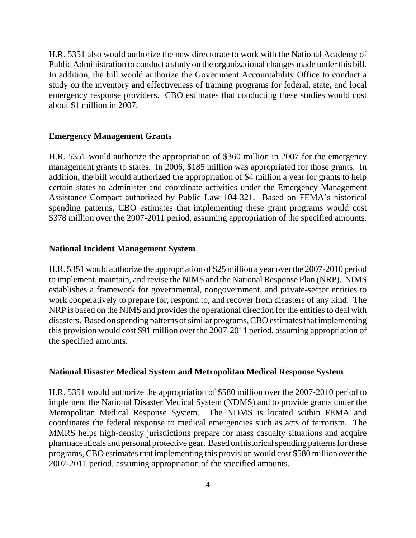H.R. 5351 also would authorize the new directorate to work with the National Academy of Public Administration to conduct a study on the organizational changes made under this bill. In addition, the bill would authorize the Government Accountability Office to conduct a study on the inventory and effectiveness of training programs for federal, state, and local emergency response providers. CBO estimates that conducting these studies would cost about \$1 million in 2007.

#### **Emergency Management Grants**

H.R. 5351 would authorize the appropriation of \$360 million in 2007 for the emergency management grants to states. In 2006, \$185 million was appropriated for those grants. In addition, the bill would authorized the appropriation of \$4 million a year for grants to help certain states to administer and coordinate activities under the Emergency Management Assistance Compact authorized by Public Law 104-321. Based on FEMA's historical spending patterns, CBO estimates that implementing these grant programs would cost \$378 million over the 2007-2011 period, assuming appropriation of the specified amounts.

#### **National Incident Management System**

H.R. 5351 would authorize the appropriation of \$25 million a year over the 2007-2010 period to implement, maintain, and revise the NIMS and the National Response Plan (NRP). NIMS establishes a framework for governmental, nongovernment, and private-sector entities to work cooperatively to prepare for, respond to, and recover from disasters of any kind. The NRP is based on the NIMS and provides the operational direction for the entities to deal with disasters. Based on spending patterns of similar programs, CBO estimates that implementing this provision would cost \$91 million over the 2007-2011 period, assuming appropriation of the specified amounts.

#### **National Disaster Medical System and Metropolitan Medical Response System**

H.R. 5351 would authorize the appropriation of \$580 million over the 2007-2010 period to implement the National Disaster Medical System (NDMS) and to provide grants under the Metropolitan Medical Response System. The NDMS is located within FEMA and coordinates the federal response to medical emergencies such as acts of terrorism. The MMRS helps high-density jurisdictions prepare for mass casualty situations and acquire pharmaceuticals and personal protective gear. Based on historical spending patterns for these programs, CBO estimates that implementing this provision would cost \$580 million over the 2007-2011 period, assuming appropriation of the specified amounts.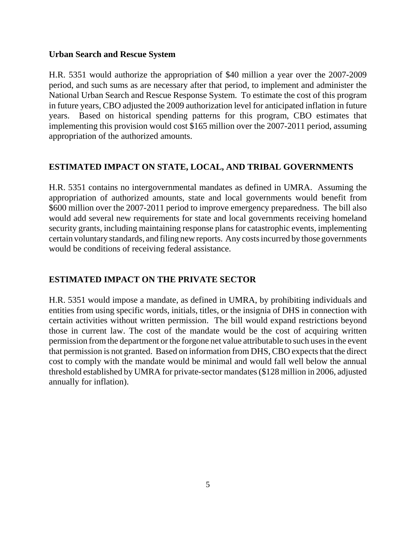#### **Urban Search and Rescue System**

H.R. 5351 would authorize the appropriation of \$40 million a year over the 2007-2009 period, and such sums as are necessary after that period, to implement and administer the National Urban Search and Rescue Response System. To estimate the cost of this program in future years, CBO adjusted the 2009 authorization level for anticipated inflation in future years. Based on historical spending patterns for this program, CBO estimates that implementing this provision would cost \$165 million over the 2007-2011 period, assuming appropriation of the authorized amounts.

## **ESTIMATED IMPACT ON STATE, LOCAL, AND TRIBAL GOVERNMENTS**

H.R. 5351 contains no intergovernmental mandates as defined in UMRA. Assuming the appropriation of authorized amounts, state and local governments would benefit from \$600 million over the 2007-2011 period to improve emergency preparedness. The bill also would add several new requirements for state and local governments receiving homeland security grants, including maintaining response plans for catastrophic events, implementing certain voluntary standards, and filing new reports. Any costs incurred by those governments would be conditions of receiving federal assistance.

## **ESTIMATED IMPACT ON THE PRIVATE SECTOR**

H.R. 5351 would impose a mandate, as defined in UMRA, by prohibiting individuals and entities from using specific words, initials, titles, or the insignia of DHS in connection with certain activities without written permission. The bill would expand restrictions beyond those in current law. The cost of the mandate would be the cost of acquiring written permission from the department or the forgone net value attributable to such uses in the event that permission is not granted. Based on information from DHS, CBO expects that the direct cost to comply with the mandate would be minimal and would fall well below the annual threshold established by UMRA for private-sector mandates (\$128 million in 2006, adjusted annually for inflation).